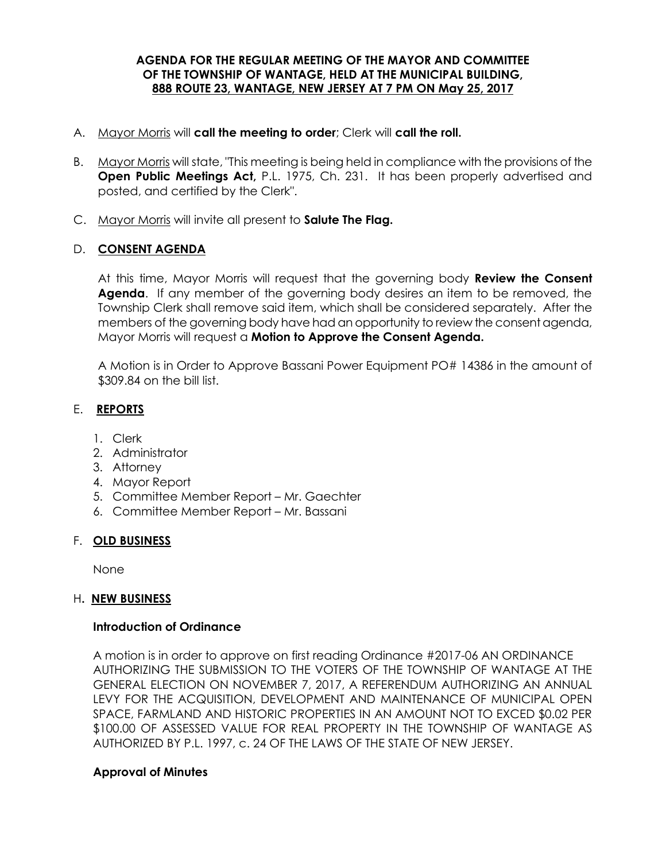### **AGENDA FOR THE REGULAR MEETING OF THE MAYOR AND COMMITTEE OF THE TOWNSHIP OF WANTAGE, HELD AT THE MUNICIPAL BUILDING, 888 ROUTE 23, WANTAGE, NEW JERSEY AT 7 PM ON May 25, 2017**

- A. Mayor Morris will **call the meeting to order**; Clerk will **call the roll.**
- B. Mayor Morris will state, "This meeting is being held in compliance with the provisions of the **Open Public Meetings Act,** P.L. 1975, Ch. 231. It has been properly advertised and posted, and certified by the Clerk".
- C. Mayor Morris will invite all present to **Salute The Flag.**

### D. **CONSENT AGENDA**

At this time, Mayor Morris will request that the governing body **Review the Consent Agenda**. If any member of the governing body desires an item to be removed, the Township Clerk shall remove said item, which shall be considered separately. After the members of the governing body have had an opportunity to review the consent agenda, Mayor Morris will request a **Motion to Approve the Consent Agenda.** 

A Motion is in Order to Approve Bassani Power Equipment PO# 14386 in the amount of \$309.84 on the bill list.

# E. **REPORTS**

- 1. Clerk
- 2. Administrator
- 3. Attorney
- 4. Mayor Report
- 5. Committee Member Report Mr. Gaechter
- 6. Committee Member Report Mr. Bassani

#### F. **OLD BUSINESS**

None

#### H**. NEW BUSINESS**

### **Introduction of Ordinance**

A motion is in order to approve on first reading Ordinance #2017-06 AN ORDINANCE AUTHORIZING THE SUBMISSION TO THE VOTERS OF THE TOWNSHIP OF WANTAGE AT THE GENERAL ELECTION ON NOVEMBER 7, 2017, A REFERENDUM AUTHORIZING AN ANNUAL LEVY FOR THE ACQUISITION, DEVELOPMENT AND MAINTENANCE OF MUNICIPAL OPEN SPACE, FARMLAND AND HISTORIC PROPERTIES IN AN AMOUNT NOT TO EXCED \$0.02 PER \$100.00 OF ASSESSED VALUE FOR REAL PROPERTY IN THE TOWNSHIP OF WANTAGE AS AUTHORIZED BY P.L. 1997, c. 24 OF THE LAWS OF THE STATE OF NEW JERSEY.

### **Approval of Minutes**